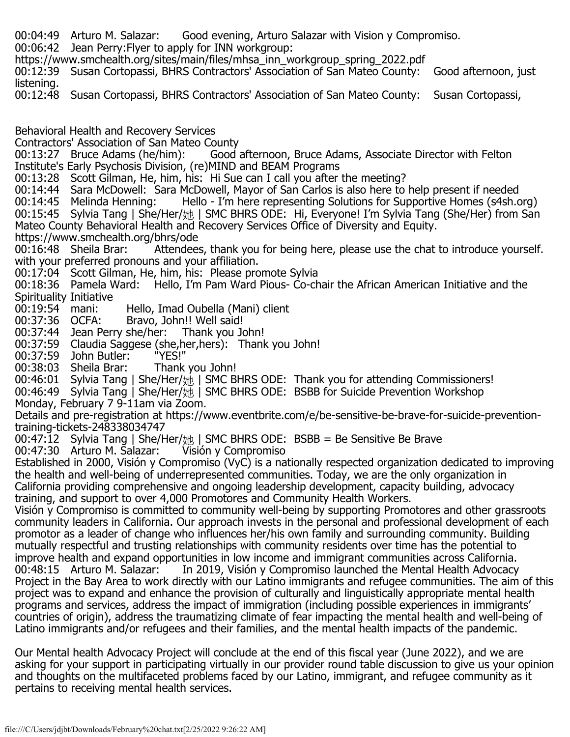- 00:04:49 Arturo M. Salazar: Good evening, Arturo Salazar with Vision y Compromiso.
- 00:06:42 Jean Perry:Flyer to apply for INN workgroup:
- https://www.smchealth.org/sites/main/files/mhsa\_inn\_workgroup\_spring\_2022.pdf
- 00:12:39 Susan Cortopassi, BHRS Contractors' Association of San Mateo County: Good afternoon, just listening.
- 00:12:48 Susan Cortopassi, BHRS Contractors' Association of San Mateo County: Susan Cortopassi,
- Behavioral Health and Recovery Services
- Contractors' Association of San Mateo County<br>00:13:27 Bruce Adams (he/him): Good
- Good afternoon, Bruce Adams, Associate Director with Felton Institute's Early Psychosis Division, (re)MIND and BEAM Programs
- 00:13:28 Scott Gilman, He, him, his: Hi Sue can I call you after the meeting?
- 00:14:44 Sara McDowell: Sara McDowell, Mayor of San Carlos is also here to help present if needed<br>00:14:45 Melinda Henning: Hello I'm here representing Solutions for Supportive Homes (s4sh.c
- Hello I'm here representing Solutions for Supportive Homes (s4sh.org) 00:15:45 Sylvia Tang | She/Her/她 | SMC BHRS ODE: Hi, Everyone! I'm Sylvia Tang (She/Her) from San Mateo County Behavioral Health and Recovery Services Office of Diversity and Equity.
- 
- https://www.smchealth.org/bhrs/ode<br>00:16:48 Sheila Brar: Attendees Attendees, thank you for being here, please use the chat to introduce yourself. with your preferred pronouns and your affiliation.
- 00:17:04 Scott Gilman, He, him, his: Please promote Sylvia
- 00:18:36 Pamela Ward: Hello, I'm Pam Ward Pious- Co-chair the African American Initiative and the Spirituality Initiative<br>00:19:54 mani:
- 00:19:54 mani: Hello, Imad Oubella (Mani) client<br>00:37:36 OCFA: Bravo, John!! Well said!
- 
- Bravo, John!! Well said!<br>she/her: Thank you John! 00:37:44 Jean Perry she/her:
- 00:37:59 Claudia Saggese (she,her,hers): Thank you John!<br>00:37:59 John Butler: "YES!"
- 
- 00:37:59 John Butler: "YES!"<br>00:38:03 Sheila Brar: Thank you John! 00:38:03 Sheila Brar:
- 00:46:01 Sylvia Tang | She/Her/她 | SMC BHRS ODE: Thank you for attending Commissioners!
- 00:46:49 Sylvia Tang | She/Her/她 | SMC BHRS ODE: BSBB for Suicide Prevention Workshop
- Monday, February 7 9-11am via Zoom.
- Details and pre-registration at https://www.eventbrite.com/e/be-sensitive-be-brave-for-suicide-preventiontraining-tickets-248338034747
- 00:47:12 Sylvia Tang | She/Her/她 | SMC BHRS ODE: BSBB = Be Sensitive Be Brave <br>00:47:30 Arturo M. Salazar: Yisión y Compromiso 00:47:30 Arturo M. Salazar:
- Established in 2000, Visión y Compromiso (VyC) is a nationally respected organization dedicated to improving the health and well-being of underrepresented communities. Today, we are the only organization in California providing comprehensive and ongoing leadership development, capacity building, advocacy training, and support to over 4,000 Promotores and Community Health Workers.
- Visión y Compromiso is committed to community well-being by supporting Promotores and other grassroots community leaders in California. Our approach invests in the personal and professional development of each promotor as a leader of change who influences her/his own family and surrounding community. Building mutually respectful and trusting relationships with community residents over time has the potential to improve health and expand opportunities in low income and immigrant communities across California.<br>00:48:15 Arturo M. Salazar: In 2019, Visión y Compromiso launched the Mental Health Advocacy In 2019, Visión y Compromiso launched the Mental Health Advocacy Project in the Bay Area to work directly with our Latino immigrants and refugee communities. The aim of this project was to expand and enhance the provision of culturally and linguistically appropriate mental health programs and services, address the impact of immigration (including possible experiences in immigrants' countries of origin), address the traumatizing climate of fear impacting the mental health and well-being of Latino immigrants and/or refugees and their families, and the mental health impacts of the pandemic.
- Our Mental health Advocacy Project will conclude at the end of this fiscal year (June 2022), and we are asking for your support in participating virtually in our provider round table discussion to give us your opinion and thoughts on the multifaceted problems faced by our Latino, immigrant, and refugee community as it pertains to receiving mental health services.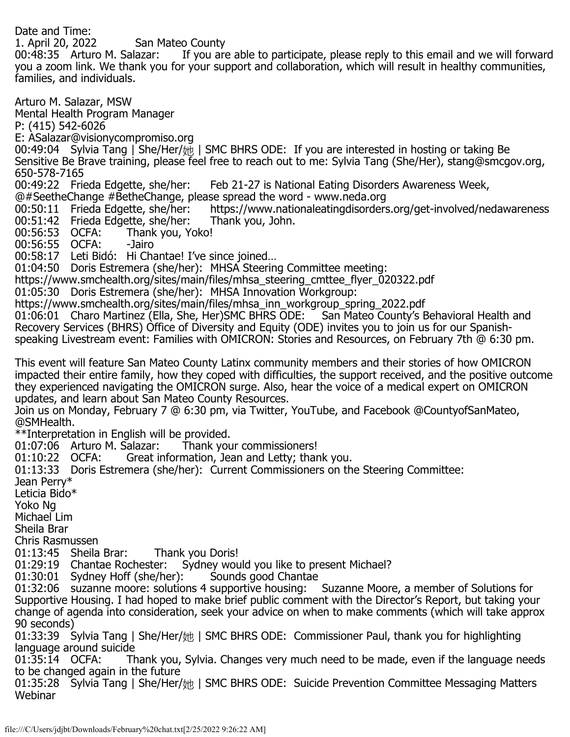Date and Time:<br>1. April 20, 2022 1. April 20, 2022 San Mateo County<br>00:48:35 Arturo M. Salazar: If you are If you are able to participate, please reply to this email and we will forward you a zoom link. We thank you for your support and collaboration, which will result in healthy communities, families, and individuals. Arturo M. Salazar, MSW Mental Health Program Manager P: (415) 542-6026 E: ASalazar@visionycompromiso.org 00:49:04 Sylvia Tang | She/Her/她 | SMC BHRS ODE: If you are interested in hosting or taking Be

Sensitive Be Brave training, please feel free to reach out to me: Sylvia Tang (She/Her), stang@smcgov.org,

650-578-7165<br>00:49:22 Frieda Edgette, she/her: Feb 21-27 is National Eating Disorders Awareness Week,

- @#SeetheChange #BetheChange, please spread the word www.neda.org
- https://www.nationaleatingdisorders.org/get-involved/nedawareness<br>Thank vou, John. 00:51:42 Frieda Edgette, she/her: Thank you, John.
- 00:56:53 OCFA: Thank you, Yoko!

00:56:55 OCFA: -Jairo

00:58:17 Leti Bidó: Hi Chantae! I've since joined…

01:04:50 Doris Estremera (she/her): MHSA Steering Committee meeting:

https://www.smchealth.org/sites/main/files/mhsa\_steering\_cmttee\_flyer\_020322.pdf

01:05:30 Doris Estremera (she/her): MHSA Innovation Workgroup:

https://www.smchealth.org/sites/main/files/mhsa\_inn\_workgroup\_spring\_2022.pdf<br>01:06:01 Charo Martinez (Ella, She, Her)SMC BHRS ODE: San Mateo County's Behavioral Health and 01:06:01 Charo Martinez (Ella, She, Her)SMC BHRS ODE: Recovery Services (BHRS) Office of Diversity and Equity (ODE) invites you to join us for our Spanishspeaking Livestream event: Families with OMICRON: Stories and Resources, on February 7th @ 6:30 pm.

This event will feature San Mateo County Latinx community members and their stories of how OMICRON impacted their entire family, how they coped with difficulties, the support received, and the positive outcome they experienced navigating the OMICRON surge. Also, hear the voice of a medical expert on OMICRON updates, and learn about San Mateo County Resources.

Join us on Monday, February 7 @ 6:30 pm, via Twitter, YouTube, and Facebook @CountyofSanMateo, @SMHealth.

\*\*Interpretation in English will be provided. 01:07:06 Arturo M. Salazar:<br>01:10:22 OCFA: Great ir

Great information, Jean and Letty; thank you.

01:13:33 Doris Estremera (she/her): Current Commissioners on the Steering Committee:

Jean Perry\*

Leticia Bido\*

Yoko Ng

Michael Lim

Sheila Brar

Chris Rasmussen

01:13:45 Sheila Brar: Thank you Doris!

01:29:19 Chantae Rochester: Sydney would you like to present Michael?<br>01:30:01 Sydney Hoff (she/her): Sounds good Chantae

 $01:30:01$  Sydney Hoff (she/her):

01:32:06 suzanne moore: solutions 4 supportive housing: Suzanne Moore, a member of Solutions for Supportive Housing. I had hoped to make brief public comment with the Director's Report, but taking your change of agenda into consideration, seek your advice on when to make comments (which will take approx 90 seconds)

01:33:39 Sylvia Tang | She/Her/她 | SMC BHRS ODE: Commissioner Paul, thank you for highlighting language around suicide

Thank you, Sylvia. Changes very much need to be made, even if the language needs to be changed again in the future

01:35:28 Sylvia Tang | She/Her/她 | SMC BHRS ODE: Suicide Prevention Committee Messaging Matters Webinar